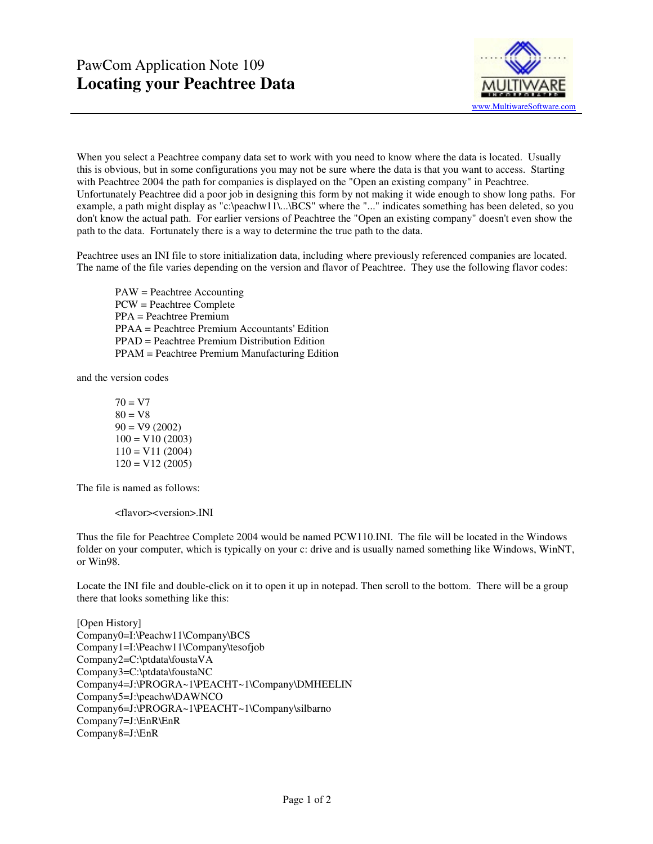

When you select a Peachtree company data set to work with you need to know where the data is located. Usually this is obvious, but in some configurations you may not be sure where the data is that you want to access. Starting with Peachtree 2004 the path for companies is displayed on the "Open an existing company" in Peachtree. Unfortunately Peachtree did a poor job in designing this form by not making it wide enough to show long paths. For example, a path might display as "c:\peachw11\...\BCS" where the "..." indicates something has been deleted, so you don't know the actual path. For earlier versions of Peachtree the "Open an existing company" doesn't even show the path to the data. Fortunately there is a way to determine the true path to the data.

Peachtree uses an INI file to store initialization data, including where previously referenced companies are located. The name of the file varies depending on the version and flavor of Peachtree. They use the following flavor codes:

 PAW = Peachtree Accounting PCW = Peachtree Complete PPA = Peachtree Premium PPAA = Peachtree Premium Accountants' Edition PPAD = Peachtree Premium Distribution Edition PPAM = Peachtree Premium Manufacturing Edition

and the version codes

 $70 = V7$  $80 = V8$  $90 = V9(2002)$  $100 = V10 (2003)$  $110 = V11 (2004)$  $120 = V12(2005)$ 

The file is named as follows:

<flavor><version>.INI

Thus the file for Peachtree Complete 2004 would be named PCW110.INI. The file will be located in the Windows folder on your computer, which is typically on your c: drive and is usually named something like Windows, WinNT, or Win98.

Locate the INI file and double-click on it to open it up in notepad. Then scroll to the bottom. There will be a group there that looks something like this:

[Open History] Company0=I:\Peachw11\Company\BCS Company1=I:\Peachw11\Company\tesofjob Company2=C:\ptdata\foustaVA Company3=C:\ptdata\foustaNC Company4=J:\PROGRA~1\PEACHT~1\Company\DMHEELIN Company5=J:\peachw\DAWNCO Company6=J:\PROGRA~1\PEACHT~1\Company\silbarno Company7=J:\EnR\EnR Company8=J:\EnR